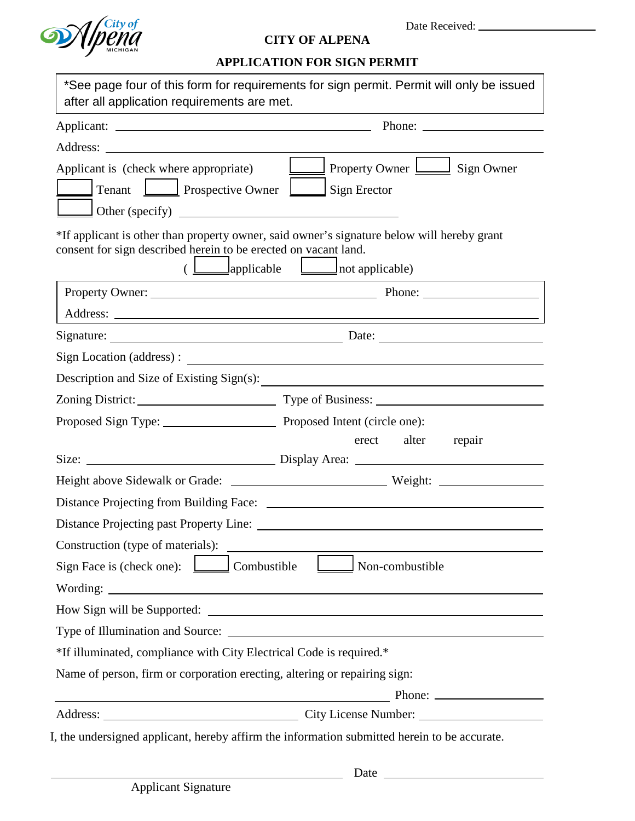

## **CITY OF ALPENA**

## **APPLICATION FOR SIGN PERMIT**

| *See page four of this form for requirements for sign permit. Permit will only be issued<br>after all application requirements are met.                                                    |
|--------------------------------------------------------------------------------------------------------------------------------------------------------------------------------------------|
|                                                                                                                                                                                            |
|                                                                                                                                                                                            |
| <b>EXAMPLE Property Owner</b> <u>Land Sign</u> Owner<br>Applicant is (check where appropriate)<br>Tenant <u>I</u> Prospective Owner<br>$\Box$ Sign Erector<br>$\text{Other (specificity)}$ |
| *If applicant is other than property owner, said owner's signature below will hereby grant<br>consent for sign described herein to be erected on vacant land.                              |
|                                                                                                                                                                                            |
|                                                                                                                                                                                            |
|                                                                                                                                                                                            |
|                                                                                                                                                                                            |
| Description and Size of Existing Sign(s):                                                                                                                                                  |
|                                                                                                                                                                                            |
| Proposed Sign Type: Proposed Intent (circle one):                                                                                                                                          |
| erect alter<br>repair                                                                                                                                                                      |
|                                                                                                                                                                                            |
| Distance Projecting from Building Face:                                                                                                                                                    |
|                                                                                                                                                                                            |
| Construction (type of materials):                                                                                                                                                          |
| Sign Face is (check one):<br>Combustible<br>Non-combustible                                                                                                                                |
|                                                                                                                                                                                            |
|                                                                                                                                                                                            |
| Type of Illumination and Source:                                                                                                                                                           |
| *If illuminated, compliance with City Electrical Code is required.*                                                                                                                        |
| Name of person, firm or corporation erecting, altering or repairing sign:                                                                                                                  |
| Phone:<br><u> 1989 - Johann Stein, mars an de Brasilian (b. 1989)</u>                                                                                                                      |
|                                                                                                                                                                                            |
| I, the undersigned applicant, hereby affirm the information submitted herein to be accurate.                                                                                               |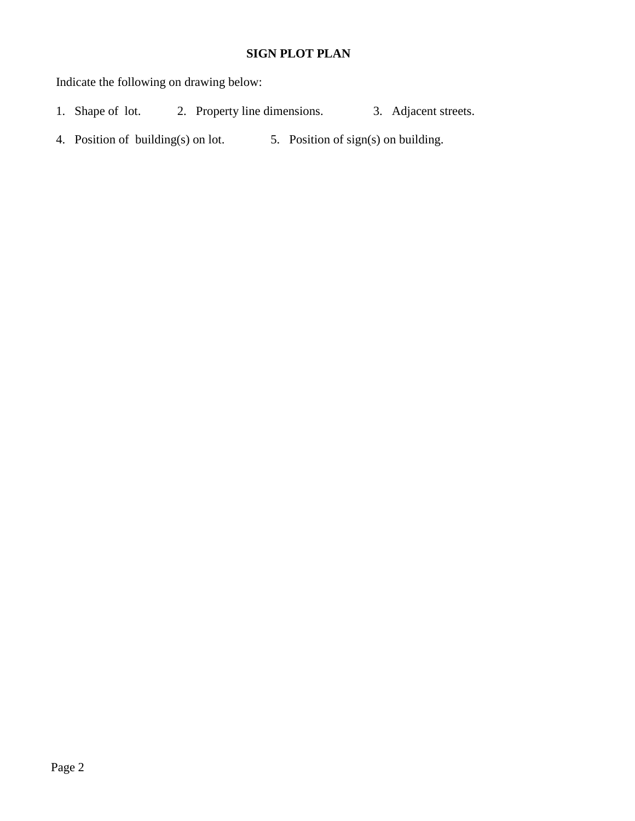## **SIGN PLOT PLAN**

Indicate the following on drawing below:

- 1. Shape of lot. 2. Property line dimensions. 3. Adjacent streets.
- 4. Position of building(s) on lot. 5. Position of sign(s) on building.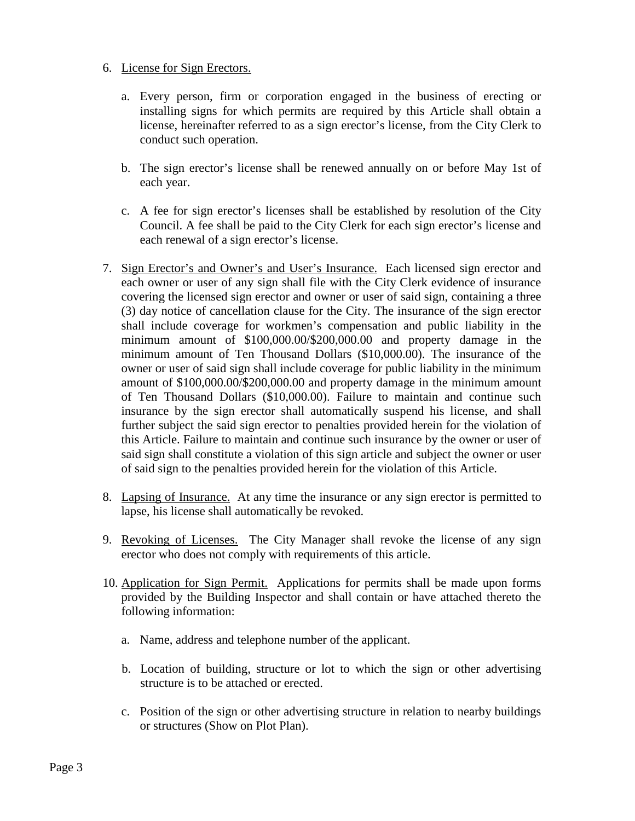## 6. License for Sign Erectors.

- a. Every person, firm or corporation engaged in the business of erecting or installing signs for which permits are required by this Article shall obtain a license, hereinafter referred to as a sign erector's license, from the City Clerk to conduct such operation.
- b. The sign erector's license shall be renewed annually on or before May 1st of each year.
- c. A fee for sign erector's licenses shall be established by resolution of the City Council. A fee shall be paid to the City Clerk for each sign erector's license and each renewal of a sign erector's license.
- 7. Sign Erector's and Owner's and User's Insurance. Each licensed sign erector and each owner or user of any sign shall file with the City Clerk evidence of insurance covering the licensed sign erector and owner or user of said sign, containing a three (3) day notice of cancellation clause for the City. The insurance of the sign erector shall include coverage for workmen's compensation and public liability in the minimum amount of \$100,000.00/\$200,000.00 and property damage in the minimum amount of Ten Thousand Dollars (\$10,000.00). The insurance of the owner or user of said sign shall include coverage for public liability in the minimum amount of \$100,000.00/\$200,000.00 and property damage in the minimum amount of Ten Thousand Dollars (\$10,000.00). Failure to maintain and continue such insurance by the sign erector shall automatically suspend his license, and shall further subject the said sign erector to penalties provided herein for the violation of this Article. Failure to maintain and continue such insurance by the owner or user of said sign shall constitute a violation of this sign article and subject the owner or user of said sign to the penalties provided herein for the violation of this Article.
- 8. Lapsing of Insurance. At any time the insurance or any sign erector is permitted to lapse, his license shall automatically be revoked.
- 9. Revoking of Licenses. The City Manager shall revoke the license of any sign erector who does not comply with requirements of this article.
- 10. Application for Sign Permit. Applications for permits shall be made upon forms provided by the Building Inspector and shall contain or have attached thereto the following information:
	- a. Name, address and telephone number of the applicant.
	- b. Location of building, structure or lot to which the sign or other advertising structure is to be attached or erected.
	- c. Position of the sign or other advertising structure in relation to nearby buildings or structures (Show on Plot Plan).